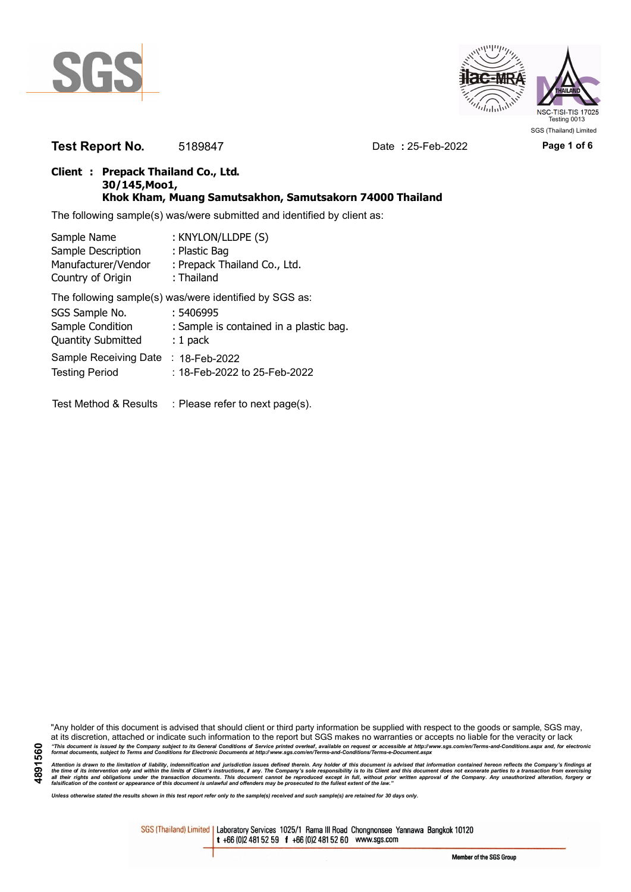



**Test Report No.** 5189847 Date **:** 25-Feb-2022 **Page 1 of 6**

### **Client : Prepack Thailand Co., Ltd. 30/145,Moo1, Khok Kham, Muang Samutsakhon, Samutsakorn 74000 Thailand**

The following sample(s) was/were submitted and identified by client as:

| Sample Name               | : KNYLON/LLDPE (S)                                     |
|---------------------------|--------------------------------------------------------|
| Sample Description        | : Plastic Bag                                          |
| Manufacturer/Vendor       | : Prepack Thailand Co., Ltd.                           |
| Country of Origin         | : Thailand                                             |
|                           | The following sample(s) was/were identified by SGS as: |
| SGS Sample No.            | : 5406995                                              |
| Sample Condition          | : Sample is contained in a plastic bag.                |
| <b>Quantity Submitted</b> | $: 1$ pack                                             |
| Sample Receiving Date     | : 18-Feb-2022                                          |
| <b>Testing Period</b>     | : 18-Feb-2022 to 25-Feb-2022                           |
|                           |                                                        |

Test Method & Results : Please refer to next page(s).

"Any holder of this document is advised that should client or third party information be supplied with respect to the goods or sample, SGS may, at its discretion, attached or indicate such information to the report but SGS makes no warranties or accepts no liable for the veracity or lack "This document is issued by the Company subject to its General Conditions of Service printed overleaf, available on request or accessible at http://www.sgs.com/en/Terms-and-Conditions.aspx and, for electronic<br>format docume

Attention is drawn to the limitation of liability, indemnification and jurisdiction issues defined therein. Any holder of this document is advised that information contained hereon reflects the Company's findings at<br>all th

*Unless otherwise stated the results shown in this test report refer only to the sample(s) received and such sample(s) are retained for 30 days only.*

SGS (Thailand) Limited | Laboratory Services 1025/1 Rama III Road Chongnonsee Yannawa Bangkok 10120 t +66 (0)2 481 52 59 f +66 (0)2 481 52 60 www.sgs.com

**4891560**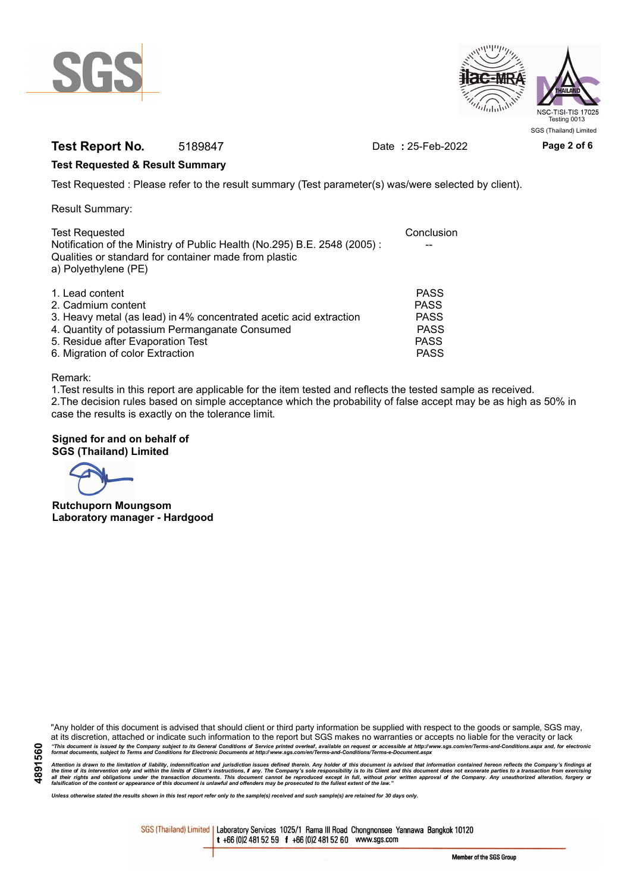



# **Test Report No.** 5189847 Date **:** 25-Feb-2022 **Page 2 of 6**

### **Test Requested & Result Summary**

Test Requested : Please refer to the result summary (Test parameter(s) was/were selected by client).

Result Summary:

| <b>Test Requested</b>                                                                                                                                     | Conclusion  |
|-----------------------------------------------------------------------------------------------------------------------------------------------------------|-------------|
| Notification of the Ministry of Public Health (No.295) B.E. 2548 (2005):<br>Qualities or standard for container made from plastic<br>a) Polyethylene (PE) |             |
|                                                                                                                                                           |             |
| 1. Lead content                                                                                                                                           | <b>PASS</b> |
| 2. Cadmium content                                                                                                                                        | <b>PASS</b> |
| 3. Heavy metal (as lead) in 4% concentrated acetic acid extraction                                                                                        | <b>PASS</b> |
| 4. Quantity of potassium Permanganate Consumed                                                                                                            | <b>PASS</b> |
| 5. Residue after Evaporation Test                                                                                                                         | <b>PASS</b> |
| 6. Migration of color Extraction                                                                                                                          | <b>PASS</b> |

#### Remark:

1.Test results in this report are applicable for the item tested and reflects the tested sample as received. 2.The decision rules based on simple acceptance which the probability of false accept may be as high as 50% in case the results is exactly on the tolerance limit.

### **Signed for and on behalf of SGS (Thailand) Limited**

**Rutchuporn Moungsom Laboratory manager - Hardgood**

"Any holder of this document is advised that should client or third party information be supplied with respect to the goods or sample, SGS may, at its discretion, attached or indicate such information to the report but SGS makes no warranties or accepts no liable for the veracity or lack "This document is issued by the Company subject to its General Conditions of Service printed overleaf, available on request or accessible at http://www.sgs.com/en/Terms-and-Conditions.aspx and, for electronic<br>format docume

Attention is drawn to the limitation of liability, indemnification and jurisdiction issues defined therein. Any holder of this document is advised that information contained hereon reflects the Company's findings at<br>all th

*Unless otherwise stated the results shown in this test report refer only to the sample(s) received and such sample(s) are retained for 30 days only.*

SGS (Thailand) Limited | Laboratory Services 1025/1 Rama III Road Chongnonsee Yannawa Bangkok 10120 t +66 (0)2 481 52 59 f +66 (0)2 481 52 60 www.sgs.com

Member of the SGS Group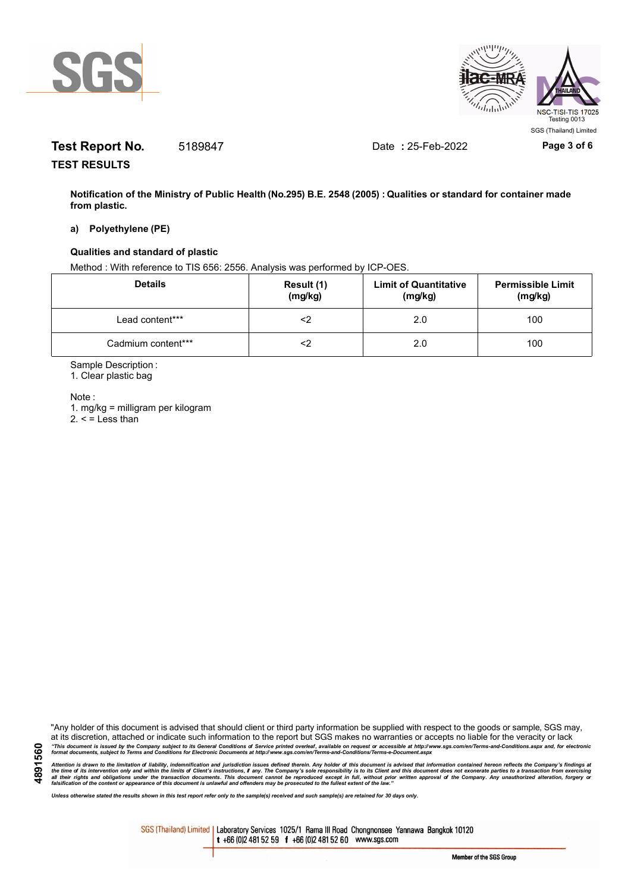



# **Test Report No.** 5189847 Date **:** 25-Feb-2022 **Page 3 of 6**

**TEST RESULTS**

**Notification of the Ministry of Public Health (No.295) B.E. 2548 (2005) : Qualities or standard for container made from plastic.**

#### **a) Polyethylene (PE)**

#### **Qualities and standard of plastic**

Method : With reference to TIS 656: 2556. Analysis was performed by ICP-OES.

| <b>Details</b>     | Result (1)<br>(mg/kg) | <b>Limit of Quantitative</b><br>(mg/kg) | <b>Permissible Limit</b><br>(mg/kg) |
|--------------------|-----------------------|-----------------------------------------|-------------------------------------|
| Lead content***    |                       | 2.0                                     | 100                                 |
| Cadmium content*** |                       | 2.0                                     | 100                                 |

Sample Description :

1. Clear plastic bag

Note :

1. mg/kg = milligram per kilogram  $2. <$  = Less than

"Any holder of this document is advised that should client or third party information be supplied with respect to the goods or sample, SGS may, at its discretion, attached or indicate such information to the report but SGS makes no warranties or accepts no liable for the veracity or lack "This document is issued by the Company subject to its General Conditions of Service printed overleaf, available on request or accessible at http://www.sgs.com/en/Terms-and-Conditions.aspx and, for electronic<br>format docume

Attention is drawn to the limitation of liability, indemnification and jurisdiction issues defined therein. Any holder of this document is advised that information contained hereon reflects the Company's findings at<br>all th

*Unless otherwise stated the results shown in this test report refer only to the sample(s) received and such sample(s) are retained for 30 days only.*

SGS (Thailand) Limited | Laboratory Services 1025/1 Rama III Road Chongnonsee Yannawa Bangkok 10120 t +66 (0)2 481 52 59 f +66 (0)2 481 52 60 www.sgs.com

**4891560**

Member of the SGS Group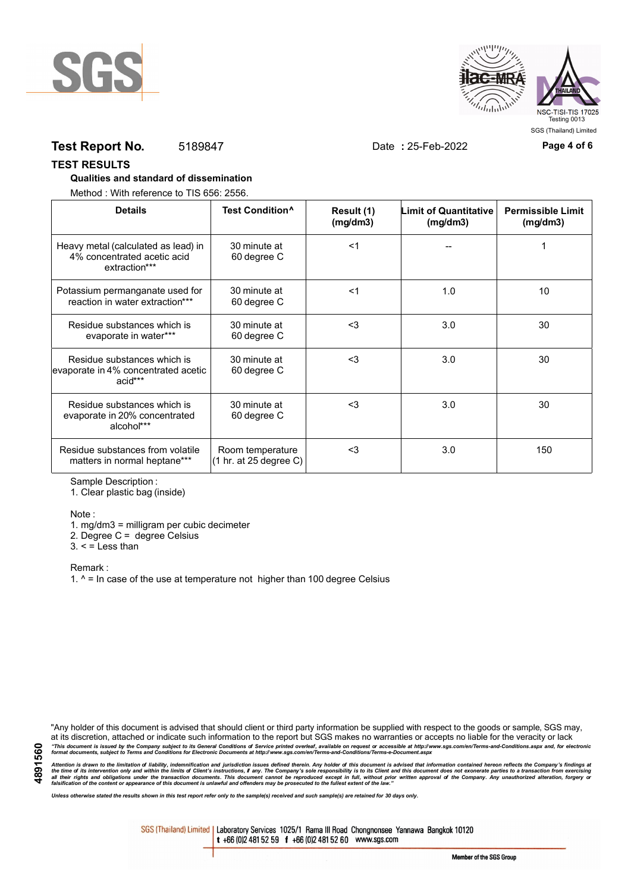



## **Test Report No.** 5189847 Date **:** 25-Feb-2022 **Page 4 of 6**

#### **TEST RESULTS**

#### **Qualities and standard of dissemination**

Method : With reference to TIS 656: 2556.

| <b>Details</b>                                                                      | Test Condition <sup>^</sup>                | Result (1)<br>(mg/dm3) | <b>Limit of Quantitative</b><br>(mg/dm3) | <b>Permissible Limit</b><br>(mg/dm3) |
|-------------------------------------------------------------------------------------|--------------------------------------------|------------------------|------------------------------------------|--------------------------------------|
| Heavy metal (calculated as lead) in<br>4% concentrated acetic acid<br>extraction*** | 30 minute at<br>60 degree C                | $<$ 1                  |                                          |                                      |
| Potassium permanganate used for<br>reaction in water extraction***                  | 30 minute at<br>60 degree C                | $<$ 1                  | 1.0                                      | 10                                   |
| Residue substances which is<br>evaporate in water***                                | 30 minute at<br>60 degree C                | $3$                    | 3.0                                      | 30                                   |
| Residue substances which is<br>evaporate in 4% concentrated acetic<br>acid***       | 30 minute at<br>60 degree C                | $3$                    | 3.0                                      | 30                                   |
| Residue substances which is<br>evaporate in 20% concentrated<br>alcohol***          | 30 minute at<br>60 degree C                | $3$                    | 3.0                                      | 30                                   |
| Residue substances from volatile<br>matters in normal heptane***                    | Room temperature<br>(1 hr. at 25 degree C) | $3$                    | 3.0                                      | 150                                  |

Sample Description :

1. Clear plastic bag (inside)

#### Note :

1. mg/dm3 = milligram per cubic decimeter

2. Degree C = degree Celsius

 $3. <$  = Less than

Remark :

1.  $^{\circ}$  = In case of the use at temperature not higher than 100 degree Celsius

"Any holder of this document is advised that should client or third party information be supplied with respect to the goods or sample, SGS may, at its discretion, attached or indicate such information to the report but SGS makes no warranties or accepts no liable for the veracity or lack "This document is issued by the Company subject to its General Conditions of Service printed overleaf, available on request or accessible at http://www.sgs.com/en/Terms-and-Conditions.aspx and, for electronic<br>format docume

Attention is drawn to the limitation of liability, indemnification and jurisdiction issues defined therein. Any holder of this document is advised that information contained hereon reflects the Company's findings at<br>all th

*Unless otherwise stated the results shown in this test report refer only to the sample(s) received and such sample(s) are retained for 30 days only.*

SGS (Thailand) Limited | Laboratory Services 1025/1 Rama III Road Chongnonsee Yannawa Bangkok 10120 t +66 (0)2 481 52 59 f +66 (0)2 481 52 60 www.sgs.com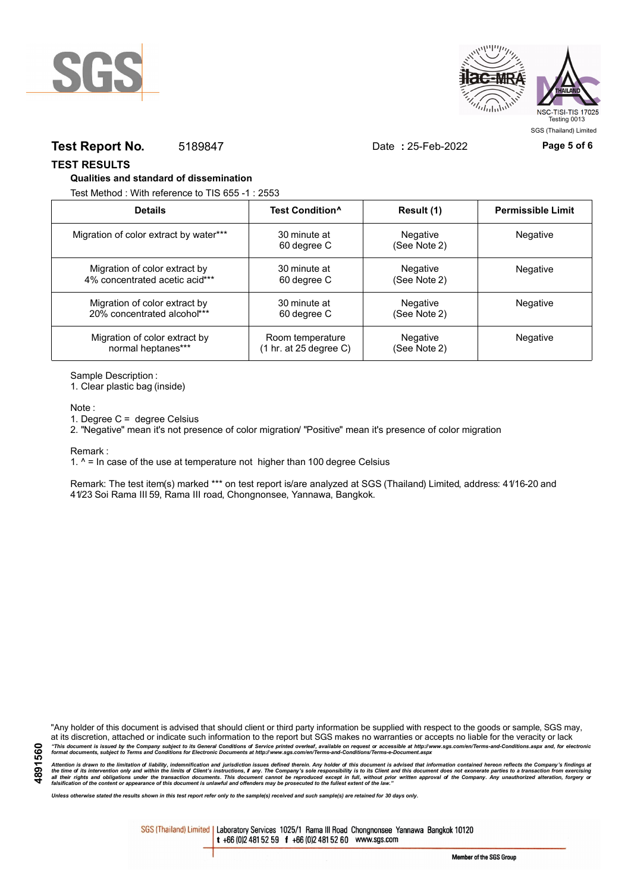



## **Test Report No.** 5189847 Date **:** 25-Feb-2022 **Page 5 of 6**

**TEST RESULTS**

#### **Qualities and standard of dissemination**

Test Method : With reference to TIS 655 -1 : 2553

| <b>Details</b>                         | Test Condition <sup>^</sup> | Result (1)               | <b>Permissible Limit</b> |
|----------------------------------------|-----------------------------|--------------------------|--------------------------|
| Migration of color extract by water*** | 30 minute at<br>60 degree C | Negative<br>(See Note 2) | Negative                 |
| Migration of color extract by          | 30 minute at                | Negative                 | <b>Negative</b>          |
| 4% concentrated acetic acid***         | 60 degree C                 | (See Note 2)             |                          |
| Migration of color extract by          | 30 minute at                | Negative                 | <b>Negative</b>          |
| 20% concentrated alcohol***            | 60 degree C                 | (See Note 2)             |                          |
| Migration of color extract by          | Room temperature            | Negative                 | Negative                 |
| normal heptanes***                     | (1 hr. at 25 degree C)      | (See Note 2)             |                          |

Sample Description :

1. Clear plastic bag (inside)

Note :

1. Degree C = degree Celsius

2. "Negative" mean it's not presence of color migration/ "Positive" mean it's presence of color migration

Remark :

1.  $^{\circ}$  = In case of the use at temperature not higher than 100 degree Celsius

Remark: The test item(s) marked \*\*\* on test report is/are analyzed at SGS (Thailand) Limited, address: 41/16-20 and 41/23 Soi Rama III 59, Rama III road, Chongnonsee, Yannawa, Bangkok.

**4891560**

"Any holder of this document is advised that should client or third party information be supplied with respect to the goods or sample, SGS may, at its discretion, attached or indicate such information to the report but SGS makes no warranties or accepts no liable for the veracity or lack "This document is issued by the Company subject to its General Conditions of Service printed overleaf, available on request or accessible at http://www.sgs.com/en/Terms-and-Conditions.aspx and, for electronic<br>format docume

Attention is drawn to the limitation of liability, indemnification and jurisdiction issues defined therein. Any holder of this document is advised that information contained hereon reflects the Company's findings at<br>all th

*Unless otherwise stated the results shown in this test report refer only to the sample(s) received and such sample(s) are retained for 30 days only.*

SGS (Thailand) Limited | Laboratory Services 1025/1 Rama III Road Chongnonsee Yannawa Bangkok 10120 t +66 (0)2 481 52 59 f +66 (0)2 481 52 60 www.sgs.com